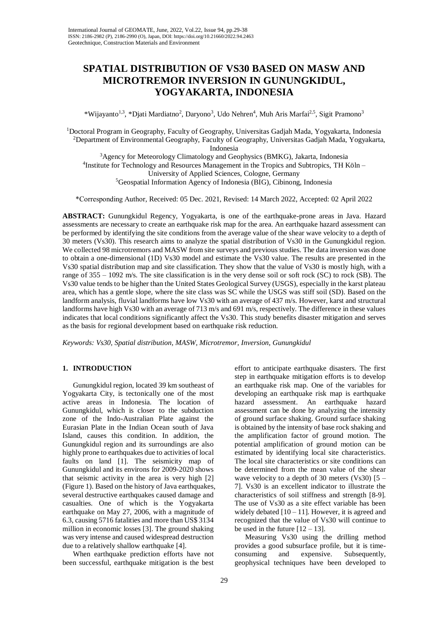# **SPATIAL DISTRIBUTION OF VS30 BASED ON MASW AND MICROTREMOR INVERSION IN GUNUNGKIDUL, YOGYAKARTA, INDONESIA**

\*Wijayanto<sup>1,3</sup>, \*Djati Mardiatno<sup>2</sup>, Daryono<sup>3</sup>, Udo Nehren<sup>4</sup>, Muh Aris Marfai<sup>2,5</sup>, Sigit Pramono<sup>3</sup>

<sup>1</sup>Doctoral Program in Geography, Faculty of Geography, Universitas Gadjah Mada, Yogyakarta, Indonesia <sup>2</sup>Department of Environmental Geography, Faculty of Geography, Universitas Gadjah Mada, Yogyakarta, Indonesia <sup>3</sup>Agency for Meteorology Climatology and Geophysics (BMKG), Jakarta, Indonesia <sup>4</sup>Institute for Technology and Resources Management in the Tropics and Subtropics, TH Köln -University of Applied Sciences, Cologne, Germany <sup>5</sup>Geospatial Information Agency of Indonesia (BIG), Cibinong, Indonesia

\*Corresponding Author, Received: 05 Dec. 2021, Revised: 14 March 2022, Accepted: 02 April 2022

**ABSTRACT:** Gunungkidul Regency, Yogyakarta, is one of the earthquake-prone areas in Java. Hazard assessments are necessary to create an earthquake risk map for the area. An earthquake hazard assessment can be performed by identifying the site conditions from the average value of the shear wave velocity to a depth of 30 meters (Vs30). This research aims to analyze the spatial distribution of Vs30 in the Gunungkidul region. We collected 98 microtremors and MASW from site surveys and previous studies. The data inversion was done to obtain a one-dimensional (1D) Vs30 model and estimate the Vs30 value. The results are presented in the Vs30 spatial distribution map and site classification. They show that the value of Vs30 is mostly high, with a range of 355 – 1092 m/s. The site classification is in the very dense soil or soft rock (SC) to rock (SB). The Vs30 value tends to be higher than the United States Geological Survey (USGS), especially in the karst plateau area, which has a gentle slope, where the site class was SC while the USGS was stiff soil (SD). Based on the landform analysis, fluvial landforms have low Vs30 with an average of 437 m/s. However, karst and structural landforms have high Vs30 with an average of 713 m/s and 691 m/s, respectively. The difference in these values indicates that local conditions significantly affect the Vs30. This study benefits disaster mitigation and serves as the basis for regional development based on earthquake risk reduction.

*Keywords: Vs30, Spatial distribution, MASW, Microtremor, Inversion, Gunungkidul*

# **1. INTRODUCTION**

Gunungkidul region, located 39 km southeast of Yogyakarta City, is tectonically one of the most active areas in Indonesia. The location of Gunungkidul, which is closer to the subduction zone of the Indo-Australian Plate against the Eurasian Plate in the Indian Ocean south of Java Island, causes this condition. In addition, the Gunungkidul region and its surroundings are also highly prone to earthquakes due to activities of local faults on land [1]. The seismicity map of Gunungkidul and its environs for 2009-2020 shows that seismic activity in the area is very high [2] (Figure 1). Based on the history of Java earthquakes, several destructive earthquakes caused damage and casualties. One of which is the Yogyakarta earthquake on May 27, 2006, with a magnitude of 6.3, causing 5716 fatalities and more than US\$ 3134 million in economic losses [3]. The ground shaking was very intense and caused widespread destruction due to a relatively shallow earthquake [4].

When earthquake prediction efforts have not been successful, earthquake mitigation is the best

effort to anticipate earthquake disasters. The first step in earthquake mitigation efforts is to develop an earthquake risk map. One of the variables for developing an earthquake risk map is earthquake hazard assessment. An earthquake hazard assessment can be done by analyzing the intensity of ground surface shaking. Ground surface shaking is obtained by the intensity of base rock shaking and the amplification factor of ground motion. The potential amplification of ground motion can be estimated by identifying local site characteristics. The local site characteristics or site conditions can be determined from the mean value of the shear wave velocity to a depth of 30 meters (Vs30)  $[5 -$ 7]. Vs30 is an excellent indicator to illustrate the characteristics of soil stiffness and strength [8-9]. The use of Vs30 as a site effect variable has been widely debated  $[10 - 11]$ . However, it is agreed and recognized that the value of Vs30 will continue to be used in the future  $[12 - 13]$ .

Measuring Vs30 using the drilling method provides a good subsurface profile, but it is timeconsuming and expensive. Subsequently, geophysical techniques have been developed to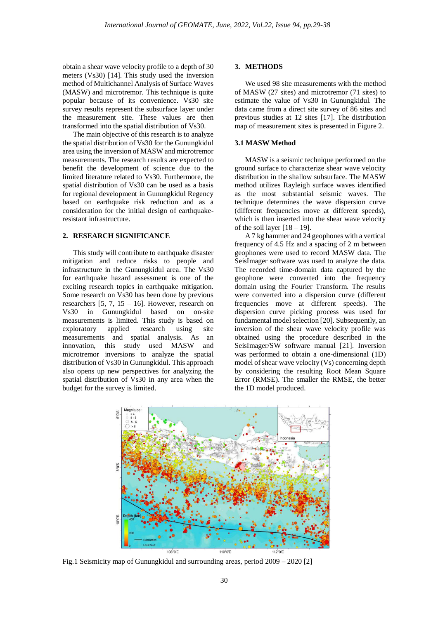obtain a shear wave velocity profile to a depth of 30 meters (Vs30) [14]. This study used the inversion method of Multichannel Analysis of Surface Waves (MASW) and microtremor. This technique is quite popular because of its convenience. Vs30 site survey results represent the subsurface layer under the measurement site. These values are then transformed into the spatial distribution of Vs30.

The main objective of this research is to analyze the spatial distribution of Vs30 for the Gunungkidul area using the inversion of MASW and microtremor measurements. The research results are expected to benefit the development of science due to the limited literature related to Vs30. Furthermore, the spatial distribution of Vs30 can be used as a basis for regional development in Gunungkidul Regency based on earthquake risk reduction and as a consideration for the initial design of earthquakeresistant infrastructure.

## **2. RESEARCH SIGNIFICANCE**

This study will contribute to earthquake disaster mitigation and reduce risks to people and infrastructure in the Gunungkidul area. The Vs30 for earthquake hazard assessment is one of the exciting research topics in earthquake mitigation. Some research on Vs30 has been done by previous researchers  $[5, 7, 15 - 16]$ . However, research on Vs30 in Gunungkidul based on on-site measurements is limited. This study is based on exploratory applied research using site measurements and spatial analysis. As an innovation, this study used MASW and microtremor inversions to analyze the spatial distribution of Vs30 in Gunungkidul. This approach also opens up new perspectives for analyzing the spatial distribution of Vs30 in any area when the budget for the survey is limited.

#### **3. METHODS**

We used 98 site measurements with the method of MASW (27 sites) and microtremor (71 sites) to estimate the value of Vs30 in Gunungkidul. The data came from a direct site survey of 86 sites and previous studies at 12 sites [17]. The distribution map of measurement sites is presented in Figure 2.

## **3.1 MASW Method**

MASW is a seismic technique performed on the ground surface to characterize shear wave velocity distribution in the shallow subsurface. The MASW method utilizes Rayleigh surface waves identified as the most substantial seismic waves. The technique determines the wave dispersion curve (different frequencies move at different speeds), which is then inserted into the shear wave velocity of the soil layer  $[18 - 19]$ .

A 7 kg hammer and 24 geophones with a vertical frequency of 4.5 Hz and a spacing of 2 m between geophones were used to record MASW data. The SeisImager software was used to analyze the data. The recorded time-domain data captured by the geophone were converted into the frequency domain using the Fourier Transform. The results were converted into a dispersion curve (different frequencies move at different speeds). The dispersion curve picking process was used for fundamental model selection [20]. Subsequently, an inversion of the shear wave velocity profile was obtained using the procedure described in the SeisImager/SW software manual [21]. Inversion was performed to obtain a one-dimensional (1D) model of shear wave velocity (Vs) concerning depth by considering the resulting Root Mean Square Error (RMSE). The smaller the RMSE, the better the 1D model produced.



Fig.1 Seismicity map of Gunungkidul and surrounding areas, period 2009 – 2020 [2]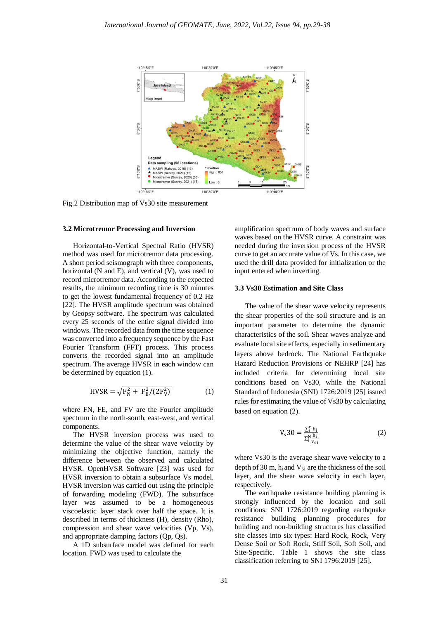

Fig.2 Distribution map of Vs30 site measurement

#### **3.2 Microtremor Processing and Inversion**

Horizontal-to-Vertical Spectral Ratio (HVSR) method was used for microtremor data processing. A short period seismograph with three components, horizontal (N and E), and vertical (V), was used to record microtremor data. According to the expected results, the minimum recording time is 30 minutes to get the lowest fundamental frequency of 0.2 Hz [22]. The HVSR amplitude spectrum was obtained by Geopsy software. The spectrum was calculated every 25 seconds of the entire signal divided into windows. The recorded data from the time sequence was converted into a frequency sequence by the Fast Fourier Transform (FFT) process. This process converts the recorded signal into an amplitude spectrum. The average HVSR in each window can be determined by equation (1).

$$
HVSR = \sqrt{F_N^2 + F_E^2/(2F_V^2)}
$$
 (1)

where FN, FE, and FV are the Fourier amplitude spectrum in the north-south, east-west, and vertical components.

The HVSR inversion process was used to determine the value of the shear wave velocity by minimizing the objective function, namely the difference between the observed and calculated HVSR. OpenHVSR Software [23] was used for HVSR inversion to obtain a subsurface Vs model. HVSR inversion was carried out using the principle of forwarding modeling (FWD). The subsurface layer was assumed to be a homogeneous viscoelastic layer stack over half the space. It is described in terms of thickness (H), density (Rho), compression and shear wave velocities (Vp, Vs), and appropriate damping factors (Qp, Qs).

A 1D subsurface model was defined for each location. FWD was used to calculate the

amplification spectrum of body waves and surface waves based on the HVSR curve. A constraint was needed during the inversion process of the HVSR curve to get an accurate value of Vs. In this case, we used the drill data provided for initialization or the input entered when inverting.

#### **3.3 Vs30 Estimation and Site Class**

The value of the shear wave velocity represents the shear properties of the soil structure and is an important parameter to determine the dynamic characteristics of the soil. Shear waves analyze and evaluate local site effects, especially in sedimentary layers above bedrock. The National Earthquake Hazard Reduction Provisions or NEHRP [24] has included criteria for determining local site conditions based on Vs30, while the National Standard of Indonesia (SNI) 1726:2019 [25] issued rules for estimating the value of Vs30 by calculating based on equation (2).

$$
V_s 30 = \frac{\sum_i^n h_i}{\sum_i^N \frac{h_i}{v_{si}}} \tag{2}
$$

where Vs30 is the average shear wave velocity to a depth of 30 m,  $h_i$  and  $V_{si}$  are the thickness of the soil layer, and the shear wave velocity in each layer, respectively.

The earthquake resistance building planning is strongly influenced by the location and soil conditions. SNI 1726:2019 regarding earthquake resistance building planning procedures for building and non-building structures has classified site classes into six types: Hard Rock, Rock, Very Dense Soil or Soft Rock, Stiff Soil, Soft Soil, and Site-Specific. Table 1 shows the site class classification referring to SNI 1796:2019 [25].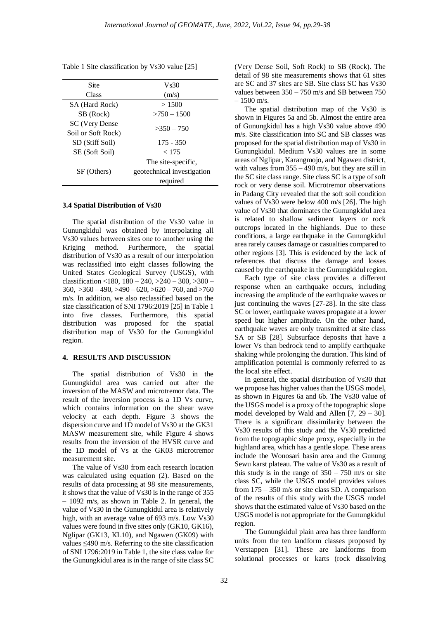Table 1 Site classification by Vs30 value [25]

| Site               | V <sub>s</sub> 30          |  |  |  |  |
|--------------------|----------------------------|--|--|--|--|
| Class              | (m/s)                      |  |  |  |  |
| SA (Hard Rock)     | >1500                      |  |  |  |  |
| SB (Rock)          | $>750 - 1500$              |  |  |  |  |
| SC (Very Dense     | $>350-750$                 |  |  |  |  |
| Soil or Soft Rock) |                            |  |  |  |  |
| SD (Stiff Soil)    | $175 - 350$                |  |  |  |  |
| SE (Soft Soil)     | < 175                      |  |  |  |  |
|                    | The site-specific,         |  |  |  |  |
| SF (Others)        | geotechnical investigation |  |  |  |  |
|                    | required                   |  |  |  |  |
|                    |                            |  |  |  |  |

## **3.4 Spatial Distribution of Vs30**

The spatial distribution of the Vs30 value in Gunungkidul was obtained by interpolating all Vs30 values between sites one to another using the Kriging method. Furthermore, the spatial distribution of Vs30 as a result of our interpolation was reclassified into eight classes following the United States Geological Survey (USGS), with classification <180,  $180 - 240$ ,  $>240 - 300$ ,  $>300 360, >360 - 490, >490 - 620, >620 - 760,$  and  $>760$ m/s. In addition, we also reclassified based on the size classification of SNI 1796:2019 [25] in Table 1 into five classes. Furthermore, this spatial distribution was proposed for the spatial distribution map of Vs30 for the Gunungkidul region.

## **4. RESULTS AND DISCUSSION**

The spatial distribution of Vs30 in the Gunungkidul area was carried out after the inversion of the MASW and microtremor data. The result of the inversion process is a 1D Vs curve, which contains information on the shear wave velocity at each depth. Figure 3 shows the dispersion curve and 1D model of Vs30 at the GK31 MASW measurement site, while Figure 4 shows results from the inversion of the HVSR curve and the 1D model of Vs at the GK03 microtremor measurement site.

The value of Vs30 from each research location was calculated using equation (2). Based on the results of data processing at 98 site measurements, it shows that the value of Vs30 is in the range of 355 – 1092 m/s, as shown in Table 2. In general, the value of Vs30 in the Gunungkidul area is relatively high, with an average value of 693 m/s. Low Vs30 values were found in five sites only (GK10, GK16), Nglipar (GK13, KL10), and Ngawen (GK09) with values ≤490 m/s. Referring to the site classification of SNI 1796:2019 in Table 1, the site class value for the Gunungkidul area is in the range of site class SC

(Very Dense Soil, Soft Rock) to SB (Rock). The detail of 98 site measurements shows that 61 sites are SC and 37 sites are SB. Site class SC has Vs30 values between 350 – 750 m/s and SB between 750  $-1500$  m/s.

The spatial distribution map of the Vs30 is shown in Figures 5a and 5b. Almost the entire area of Gunungkidul has a high Vs30 value above 490 m/s. Site classification into SC and SB classes was proposed for the spatial distribution map of Vs30 in Gunungkidul. Medium Vs30 values are in some areas of Nglipar, Karangmojo, and Ngawen district, with values from  $355 - 490$  m/s, but they are still in the SC site class range. Site class SC is a type of soft rock or very dense soil. Microtremor observations in Padang City revealed that the soft soil condition values of Vs30 were below 400 m/s [26]. The high value of Vs30 that dominates the Gunungkidul area is related to shallow sediment layers or rock outcrops located in the highlands. Due to these conditions, a large earthquake in the Gunungkidul area rarely causes damage or casualties compared to other regions [3]. This is evidenced by the lack of references that discuss the damage and losses caused by the earthquake in the Gunungkidul region.

Each type of site class provides a different response when an earthquake occurs, including increasing the amplitude of the earthquake waves or just continuing the waves [27-28]. In the site class SC or lower, earthquake waves propagate at a lower speed but higher amplitude. On the other hand, earthquake waves are only transmitted at site class SA or SB [28]. Subsurface deposits that have a lower Vs than bedrock tend to amplify earthquake shaking while prolonging the duration. This kind of amplification potential is commonly referred to as the local site effect.

In general, the spatial distribution of Vs30 that we propose has higher values than the USGS model, as shown in Figures 6a and 6b. The Vs30 value of the USGS model is a proxy of the topographic slope model developed by Wald and Allen [7, 29 – 30]. There is a significant dissimilarity between the Vs30 results of this study and the Vs30 predicted from the topographic slope proxy, especially in the highland area, which has a gentle slope. These areas include the Wonosari basin area and the Gunung Sewu karst plateau. The value of Vs30 as a result of this study is in the range of  $350 - 750$  m/s or site class SC, while the USGS model provides values from 175 – 350 m/s or site class SD. A comparison of the results of this study with the USGS model shows that the estimated value of Vs30 based on the USGS model is not appropriate for the Gunungkidul region.

The Gunungkidul plain area has three landform units from the ten landform classes proposed by Verstappen [31]. These are landforms from solutional processes or karts (rock dissolving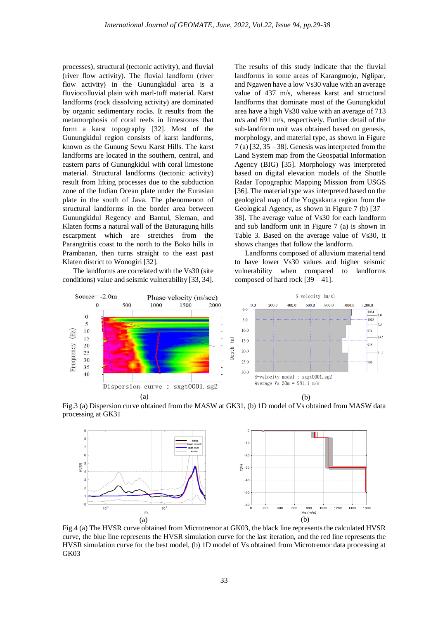processes), structural (tectonic activity), and fluvial (river flow activity). The fluvial landform (river flow activity) in the Gunungkidul area is a fluviocolluvial plain with marl-tuff material. Karst landforms (rock dissolving activity) are dominated by organic sedimentary rocks. It results from the metamorphosis of coral reefs in limestones that form a karst topography [32]. Most of the Gunungkidul region consists of karst landforms, known as the Gunung Sewu Karst Hills. The karst landforms are located in the southern, central, and eastern parts of Gunungkidul with coral limestone material. Structural landforms (tectonic activity) result from lifting processes due to the subduction zone of the Indian Ocean plate under the Eurasian plate in the south of Java. The phenomenon of structural landforms in the border area between Gunungkidul Regency and Bantul, Sleman, and Klaten forms a natural wall of the Baturagung hills escarpment which are stretches from the Parangtritis coast to the north to the Boko hills in Prambanan, then turns straight to the east past Klaten district to Wonogiri [32].

The landforms are correlated with the Vs30 (site conditions) value and seismic vulnerability [33, 34]. The results of this study indicate that the fluvial landforms in some areas of Karangmojo, Nglipar, and Ngawen have a low Vs30 value with an average value of 437 m/s, whereas karst and structural landforms that dominate most of the Gunungkidul area have a high Vs30 value with an average of 713 m/s and 691 m/s, respectively. Further detail of the sub-landform unit was obtained based on genesis, morphology, and material type, as shown in Figure  $7$  (a) [32, 35 – 38]. Genesis was interpreted from the Land System map from the Geospatial Information Agency (BIG) [35]. Morphology was interpreted based on digital elevation models of the Shuttle Radar Topographic Mapping Mission from USGS [36]. The material type was interpreted based on the geological map of the Yogyakarta region from the Geological Agency, as shown in Figure 7 (b) [37 – 38]. The average value of Vs30 for each landform and sub landform unit in Figure 7 (a) is shown in Table 3. Based on the average value of Vs30, it shows changes that follow the landform.

Landforms composed of alluvium material tend to have lower Vs30 values and higher seismic vulnerability when compared to landforms composed of hard rock [39 – 41].



Fig.3 (a) Dispersion curve obtained from the MASW at GK31, (b) 1D model of Vs obtained from MASW data processing at GK31



Fig.4 (a) The HVSR curve obtained from Microtremor at GK03, the black line represents the calculated HVSR curve, the blue line represents the HVSR simulation curve for the last iteration, and the red line represents the HVSR simulation curve for the best model, (b) 1D model of Vs obtained from Microtremor data processing at GK03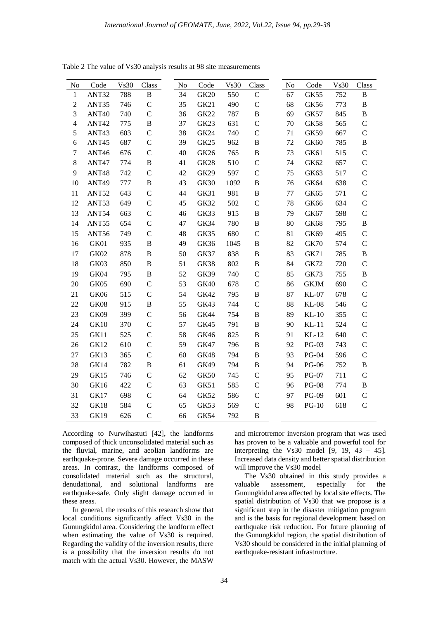| No               | Code              | Vs30 | Class         | No | Code             | Vs30 | Class         | No | Code         | Vs30 | Class         |
|------------------|-------------------|------|---------------|----|------------------|------|---------------|----|--------------|------|---------------|
| $\mathbf{1}$     | ANT32             | 788  | $\, {\bf B}$  | 34 | <b>GK20</b>      | 550  | $\mathbf C$   | 67 | GK55         | 752  | $\, {\bf B}$  |
| $\overline{2}$   | ANT35             | 746  | $\mathcal{C}$ | 35 | <b>GK21</b>      | 490  | $\mathcal{C}$ | 68 | <b>GK56</b>  | 773  | $\, {\bf B}$  |
| 3                | ANT40             | 740  | $\mathsf{C}$  | 36 | <b>GK22</b>      | 787  | $\, {\bf B}$  | 69 | <b>GK57</b>  | 845  | $\, {\bf B}$  |
| $\overline{4}$   | ANT42             | 775  | $\, {\bf B}$  | 37 | GK23             | 631  | $\mathcal{C}$ | 70 | <b>GK58</b>  | 565  | $\mathbf C$   |
| 5                | ANT43             | 603  | $\mathsf{C}$  | 38 | <b>GK24</b>      | 740  | $\mathcal{C}$ | 71 | GK59         | 667  | $\mathcal{C}$ |
| $\sqrt{6}$       | ANT <sub>45</sub> | 687  | $\mathbf C$   | 39 | GK <sub>25</sub> | 962  | B             | 72 | <b>GK60</b>  | 785  | $\, {\bf B}$  |
| $\boldsymbol{7}$ | ANT46             | 676  | $\mathsf{C}$  | 40 | GK26             | 765  | $\, {\bf B}$  | 73 | GK61         | 515  | $\mathcal{C}$ |
| $\,8\,$          | ANT47             | 774  | $\, {\bf B}$  | 41 | <b>GK28</b>      | 510  | $\mathcal{C}$ | 74 | GK62         | 657  | $\mathcal{C}$ |
| $\overline{9}$   | ANT48             | 742  | $\mathbf C$   | 42 | GK29             | 597  | $\mathcal{C}$ | 75 | GK63         | 517  | $\mathcal{C}$ |
| 10               | ANT <sub>49</sub> | 777  | $\, {\bf B}$  | 43 | GK30             | 1092 | $\, {\bf B}$  | 76 | <b>GK64</b>  | 638  | $\mathcal{C}$ |
| 11               | ANT52             | 643  | $\mathsf{C}$  | 44 | GK31             | 981  | $\, {\bf B}$  | 77 | <b>GK65</b>  | 571  | $\mathcal{C}$ |
| 12               | ANT53             | 649  | $\mathbf C$   | 45 | <b>GK32</b>      | 502  | $\mathcal{C}$ | 78 | <b>GK66</b>  | 634  | $\mathcal{C}$ |
| 13               | ANT54             | 663  | $\mathsf{C}$  | 46 | GK33             | 915  | $\, {\bf B}$  | 79 | GK67         | 598  | $\mathcal{C}$ |
| 14               | ANT55             | 654  | $\mathcal{C}$ | 47 | GK34             | 780  | $\, {\bf B}$  | 80 | <b>GK68</b>  | 795  | B             |
| 15               | ANT56             | 749  | $\mathsf{C}$  | 48 | GK35             | 680  | $\mathbf C$   | 81 | GK69         | 495  | $\mathbf C$   |
| 16               | GK01              | 935  | $\, {\bf B}$  | 49 | GK36             | 1045 | $\, {\bf B}$  | 82 | <b>GK70</b>  | 574  | $\mathcal{C}$ |
| 17               | GK02              | 878  | $\, {\bf B}$  | 50 | <b>GK37</b>      | 838  | B             | 83 | <b>GK71</b>  | 785  | B             |
| 18               | GK03              | 850  | $\, {\bf B}$  | 51 | <b>GK38</b>      | 802  | $\, {\bf B}$  | 84 | <b>GK72</b>  | 720  | $\mathcal{C}$ |
| 19               | GK04              | 795  | $\, {\bf B}$  | 52 | <b>GK39</b>      | 740  | $\mathcal{C}$ | 85 | <b>GK73</b>  | 755  | $\, {\bf B}$  |
| 20               | GK05              | 690  | $\mathbf C$   | 53 | <b>GK40</b>      | 678  | $\mathbf C$   | 86 | <b>GKJM</b>  | 690  | $\mathcal{C}$ |
| 21               | GK06              | 515  | $\mathbf C$   | 54 | <b>GK42</b>      | 795  | $\, {\bf B}$  | 87 | <b>KL-07</b> | 678  | $\mathcal{C}$ |
| 22               | GK08              | 915  | $\, {\bf B}$  | 55 | GK43             | 744  | $\mathbf C$   | 88 | $KL-08$      | 546  | $\mathcal{C}$ |
| 23               | GK09              | 399  | $\mathbf C$   | 56 | GK44             | 754  | B             | 89 | $KL-10$      | 355  | $\mathsf{C}$  |
| 24               | <b>GK10</b>       | 370  | $\mathsf{C}$  | 57 | GK45             | 791  | $\, {\bf B}$  | 90 | $KL-11$      | 524  | $\mathcal{C}$ |
| 25               | GK11              | 525  | $\mathsf{C}$  | 58 | <b>GK46</b>      | 825  | $\, {\bf B}$  | 91 | $KL-12$      | 640  | $\mathcal{C}$ |
| 26               | <b>GK12</b>       | 610  | $\mathbf C$   | 59 | <b>GK47</b>      | 796  | $\, {\bf B}$  | 92 | PG-03        | 743  | $\mathcal{C}$ |
| 27               | GK13              | 365  | $\mathsf{C}$  | 60 | <b>GK48</b>      | 794  | $\, {\bf B}$  | 93 | <b>PG-04</b> | 596  | $\mathcal{C}$ |
| 28               | GK14              | 782  | $\, {\bf B}$  | 61 | <b>GK49</b>      | 794  | B             | 94 | <b>PG-06</b> | 752  | $\, {\bf B}$  |
| 29               | GK15              | 746  | $\mathbf C$   | 62 | <b>GK50</b>      | 745  | $\mathbf C$   | 95 | <b>PG-07</b> | 711  | $\mathbf C$   |
| 30               | <b>GK16</b>       | 422  | $\mathsf{C}$  | 63 | GK51             | 585  | $\mathbf C$   | 96 | <b>PG-08</b> | 774  | $\, {\bf B}$  |
| 31               | GK17              | 698  | $\mathcal{C}$ | 64 | <b>GK52</b>      | 586  | $\mathcal{C}$ | 97 | PG-09        | 601  | $\mathsf{C}$  |
| 32               | <b>GK18</b>       | 584  | $\mathbf C$   | 65 | GK53             | 569  | $\mathsf{C}$  | 98 | $PG-10$      | 618  | $\mathbf C$   |
| 33               | GK19              | 626  | $\mathcal{C}$ | 66 | <b>GK54</b>      | 792  | $\, {\bf B}$  |    |              |      |               |

Table 2 The value of Vs30 analysis results at 98 site measurements

According to Nurwihastuti [42], the landforms composed of thick unconsolidated material such as the fluvial, marine, and aeolian landforms are earthquake-prone. Severe damage occurred in these areas. In contrast, the landforms composed of consolidated material such as the structural, denudational, and solutional landforms are earthquake-safe. Only slight damage occurred in these areas.

In general, the results of this research show that local conditions significantly affect Vs30 in the Gunungkidul area. Considering the landform effect when estimating the value of Vs30 is required. Regarding the validity of the inversion results, there is a possibility that the inversion results do not match with the actual Vs30. However, the MASW

and microtremor inversion program that was used has proven to be a valuable and powerful tool for interpreting the Vs30 model  $[9, 19, 43 - 45]$ . Increased data density and better spatial distribution will improve the Vs30 model

The Vs30 obtained in this study provides a valuable assessment, especially for the Gunungkidul area affected by local site effects. The spatial distribution of Vs30 that we propose is a significant step in the disaster mitigation program and is the basis for regional development based on earthquake risk reduction**.** For future planning of the Gunungkidul region, the spatial distribution of Vs30 should be considered in the initial planning of earthquake-resistant infrastructure.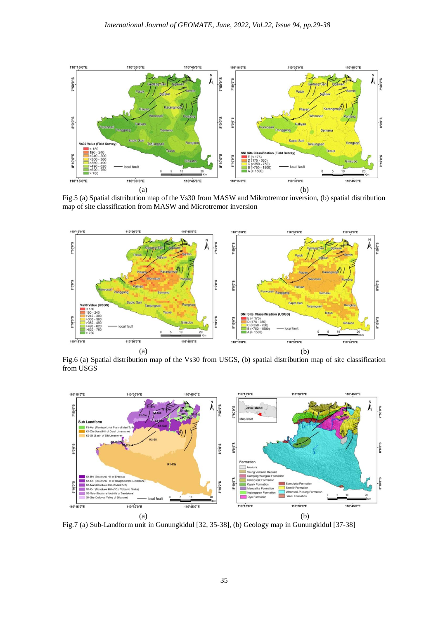

Fig.5 (a) Spatial distribution map of the Vs30 from MASW and Mikrotremor inversion, (b) spatial distribution map of site classification from MASW and Microtremor inversion



Fig.6 (a) Spatial distribution map of the Vs30 from USGS, (b) spatial distribution map of site classification from USGS



Fig.7 (a) Sub-Landform unit in Gunungkidul [32, 35-38], (b) Geology map in Gunungkidul [37-38]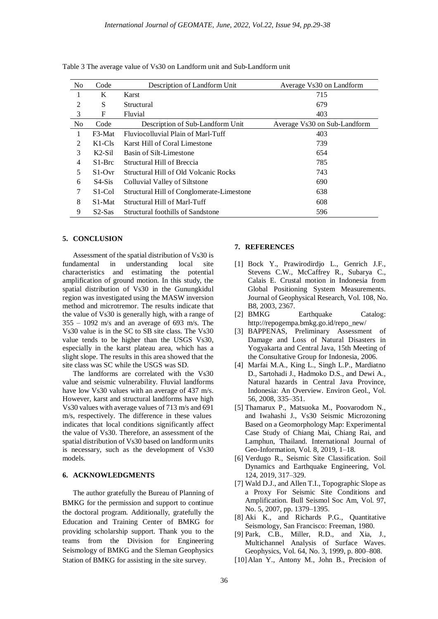| N <sub>o</sub> | Code                            | Description of Landform Unit                 | Average Vs30 on Landform     |
|----------------|---------------------------------|----------------------------------------------|------------------------------|
|                | K                               | Karst                                        | 715                          |
| 2              | S                               | Structural                                   | 679                          |
| 3              | F                               | Fluvial                                      | 403                          |
| N <sub>o</sub> | Code                            | Description of Sub-Landform Unit             | Average Vs30 on Sub-Landform |
| 1              | F3-Mat                          | Fluviocolluvial Plain of Marl-Tuff           | 403                          |
| 2              | $K1-C1s$                        | Karst Hill of Coral Limestone                | 739                          |
| 3              | $K2-Sil$                        | Basin of Silt-Limestone                      | 654                          |
| $\overline{4}$ | $S1-Brc$                        | Structural Hill of Breccia                   | 785                          |
| 5              | $S1$ -Ovr                       | <b>Structural Hill of Old Volcanic Rocks</b> | 743                          |
| 6              | $S4-Sis$                        | Colluvial Valley of Siltstone                | 690                          |
| 7              | S <sub>1</sub> -C <sub>ol</sub> | Structural Hill of Conglomerate-Limestone    | 638                          |
| 8              | S <sub>1</sub> -Mat             | Structural Hill of Marl-Tuff                 | 608                          |
| 9              | $S2-Sas$                        | Structural foothills of Sandstone            | 596                          |

Table 3 The average value of Vs30 on Landform unit and Sub-Landform unit

# **5. CONCLUSION**

Assessment of the spatial distribution of Vs30 is fundamental in understanding local site characteristics and estimating the potential amplification of ground motion. In this study, the spatial distribution of Vs30 in the Gunungkidul region was investigated using the MASW inversion method and microtremor. The results indicate that the value of Vs30 is generally high, with a range of  $355 - 1092$  m/s and an average of 693 m/s. The Vs30 value is in the SC to SB site class. The Vs30 value tends to be higher than the USGS Vs30, especially in the karst plateau area, which has a slight slope. The results in this area showed that the site class was SC while the USGS was SD.

The landforms are correlated with the Vs30 value and seismic vulnerability. Fluvial landforms have low Vs30 values with an average of 437 m/s. However, karst and structural landforms have high Vs30 values with average values of 713 m/s and 691 m/s, respectively. The difference in these values indicates that local conditions significantly affect the value of Vs30. Therefore, an assessment of the spatial distribution of Vs30 based on landform units is necessary, such as the development of Vs30 models.

# **6. ACKNOWLEDGMENTS**

The author gratefully the Bureau of Planning of BMKG for the permission and support to continue the doctoral program. Additionally, gratefully the Education and Training Center of BMKG for providing scholarship support. Thank you to the teams from the Division for Engineering Seismology of BMKG and the Sleman Geophysics Station of BMKG for assisting in the site survey.

## **7. REFERENCES**

- [1] Bock Y., Prawirodirdjo L., Genrich J.F., Stevens C.W., McCaffrey R., Subarya C., Calais E. Crustal motion in Indonesia from Global Positioning System Measurements. Journal of Geophysical Research, Vol. 108, No. B8, 2003, 2367.
- [2] BMKG Earthquake Catalog: http://repogempa.bmkg.go.id/repo\_new/
- [3] BAPPENAS, Preliminary Assessment of Damage and Loss of Natural Disasters in Yogyakarta and Central Java, 15th Meeting of the Consultative Group for Indonesia, 2006.
- [4] Marfai M.A., King L., Singh L.P., Mardiatno D., Sartohadi J., Hadmoko D.S., and Dewi A., Natural hazards in Central Java Province, Indonesia: An Overview. Environ Geol., Vol. 56, 2008, 335–351.
- [5] Thamarux P., Matsuoka M., Poovarodom N., and Iwahashi J., Vs30 Seismic Microzoning Based on a Geomorphology Map: Experimental Case Study of Chiang Mai, Chiang Rai, and Lamphun, Thailand. International Journal of Geo-Information, Vol. 8, 2019, 1–18.
- [6] Verdugo R., Seismic Site Classification. Soil Dynamics and Earthquake Engineering, Vol. 124, 2019, 317–329.
- [7] Wald D.J., and Allen T.I., Topographic Slope as a Proxy For Seismic Site Conditions and Amplification. Bull Seismol Soc Am, Vol. 97, No. 5, 2007, pp. 1379–1395.
- [8] Aki K., and Richards P.G., Quantitative Seismology, San Francisco: Freeman, 1980.
- [9] Park, C.B., Miller, R.D., and Xia, J., Multichannel Analysis of Surface Waves. Geophysics, Vol. 64, No. 3, 1999, p. 800–808.
- [10]Alan Y., Antony M., John B., Precision of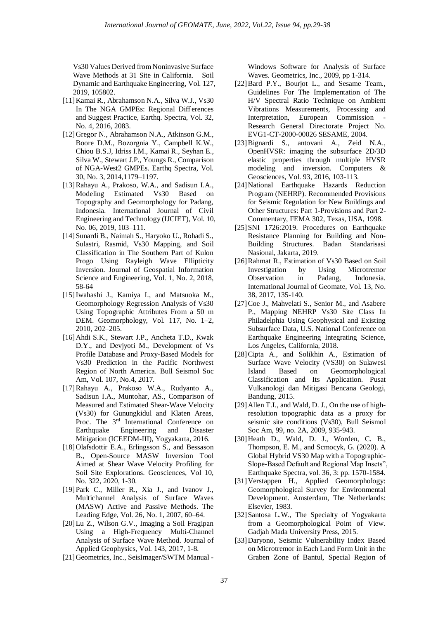Vs30 Values Derived from Noninvasive Surface Wave Methods at 31 Site in California. Soil Dynamic and Earthquake Engineering, Vol. 127, 2019, 105802.

- [11]Kamai R., Abrahamson N.A., Silva W.J., Vs30 In The NGA GMPEs: Regional Diff erences and Suggest Practice, Earthq. Spectra, Vol. 32, No. 4, 2016, 2083.
- [12]Gregor N., Abrahamson N.A., Atkinson G.M., Boore D.M., Bozorgnia Y., Campbell K.W., Chiou B.S.J, Idriss I.M., Kamai R., Seyhan E., Silva W., Stewart J.P., Youngs R., Comparison of NGA-West2 GMPEs. Earthq Spectra, Vol. 30, No. 3, 2014,1179–1197.
- [13]Rahayu A., Prakoso, W.A., and Sadisun I.A., Modeling Estimated Vs30 Based on Topography and Geomorphology for Padang, Indonesia. International Journal of Civil Engineering and Technology (IJCIET), Vol. 10, No. 06, 2019, 103–111.
- [14]Sunardi B., Naimah S., Haryoko U., Rohadi S., Sulastri, Rasmid, Vs30 Mapping, and Soil Classification in The Southern Part of Kulon Progo Using Rayleigh Wave Ellipticity Inversion. Journal of Geospatial Information Science and Engineering, Vol. 1, No. 2, 2018, 58-64
- [15]Iwahashi J., Kamiya I., and Matsuoka M., Geomorphology Regression Analysis of Vs30 Using Topographic Attributes From a 50 m DEM. Geomorphology, Vol. 117, No. 1–2, 2010, 202–205.
- [16]Ahdi S.K., Stewart J.P., Ancheta T.D., Kwak D.Y., and Devjyoti M., Development of Vs Profile Database and Proxy-Based Models for Vs30 Prediction in the Pacific Northwest Region of North America. Bull Seismol Soc Am, Vol. 107, No.4, 2017.
- [17]Rahayu A., Prakoso W.A., Rudyanto A., Sadisun I.A., Muntohar, AS., Comparison of Measured and Estimated Shear-Wave Velocity (Vs30) for Gunungkidul and Klaten Areas, Proc. The 3<sup>rd</sup> International Conference on Earthquake Engineering and Disaster Mitigation (ICEEDM-III), Yogyakarta, 2016.
- [18]Olafsdottir E.A., Erlingsson S., and Bessason B., Open-Source MASW Inversion Tool Aimed at Shear Wave Velocity Profiling for Soil Site Explorations. Geosciences, Vol 10, No. 322, 2020, 1-30.
- [19]Park C., Miller R., Xia J., and Ivanov J., Multichannel Analysis of Surface Waves (MASW) Active and Passive Methods. The Leading Edge, Vol. 26, No. 1, 2007, 60–64.
- [20]Lu Z., Wilson G.V., Imaging a Soil Fragipan Using a High-Frequency Multi-Channel Analysis of Surface Wave Method. Journal of Applied Geophysics, Vol. 143, 2017, 1-8.
- [21] Geometrics, Inc., SeisImager/SWTM Manual -

Windows Software for Analysis of Surface Waves. Geometrics, Inc., 2009, pp 1-314.

- [22]Bard P.Y., Bourjot L., and Sesame Team., Guidelines For The Implementation of The H/V Spectral Ratio Technique on Ambient Vibrations Measurements, Processing and Interpretation, European Commission Research General Directorate Project No. EVG1-CT-2000-00026 SESAME, 2004.
- [23]Bignardi S., antovani A., Zeid N.A., OpenHVSR: imaging the subsurface 2D/3D elastic properties through multiple HVSR modeling and inversion. Computers & Geosciences, Vol. 93, 2016, 103-113.
- [24]National Earthquake Hazards Reduction Program (NEHRP). Recommended Provisions for Seismic Regulation for New Buildings and Other Structures: Part 1-Provisions and Part 2- Commentary, FEMA 302, Texas, USA, 1998.
- [25]SNI 1726:2019. Procedures on Earthquake Resistance Planning for Building and Non-Building Structures. Badan Standarisasi Nasional, Jakarta, 2019.
- [26]Rahmat R., Estimation of Vs30 Based on Soil Investigation by Using Microtremor Observation in Padang, Indonesia. International Journal of Geomate, Vol. 13, No. 38, 2017, 135-140.
- [27] Coe J., Mahvelati S., Senior M., and Asabere P., Mapping NEHRP Vs30 Site Class In Philadelphia Using Geophysical and Existing Subsurface Data, U.S. National Conference on Earthquake Engineering Integrating Science, Los Angeles, California, 2018.
- [28]Cipta A., and Solikhin A., Estimation of Surface Wave Velocity (VS30) on Sulawesi Island Based on Geomorphological Classification and Its Application. Pusat Vulkanologi dan Mitigasi Bencana Geologi, Bandung, 2015.
- [29]Allen T.I., and Wald, D. J., On the use of highresolution topographic data as a proxy for seismic site conditions (Vs30), Bull Seismol Soc Am, 99, no. 2A, 2009, 935-943.
- [30] Heath D., Wald, D. J., Worden, C. B., Thompson, E. M., and Scmocyk, G. (2020). A Global Hybrid VS30 Map with a Topographic-Slope-Based Default and Regional Map Insets", Earthquake Spectra, vol. 36, 3: pp. 1570-1584.
- [31]Verstappen H., Applied Geomorphology: Geomorphological Survey for Environmental Development. Amsterdam, The Netherlands: Elsevier, 1983.
- [32] Santosa L.W., The Specialty of Yogyakarta from a Geomorphological Point of View. Gadjah Mada University Press, 2015.
- [33]Daryono, Seismic Vulnerability Index Based on Microtremor in Each Land Form Unit in the Graben Zone of Bantul, Special Region of